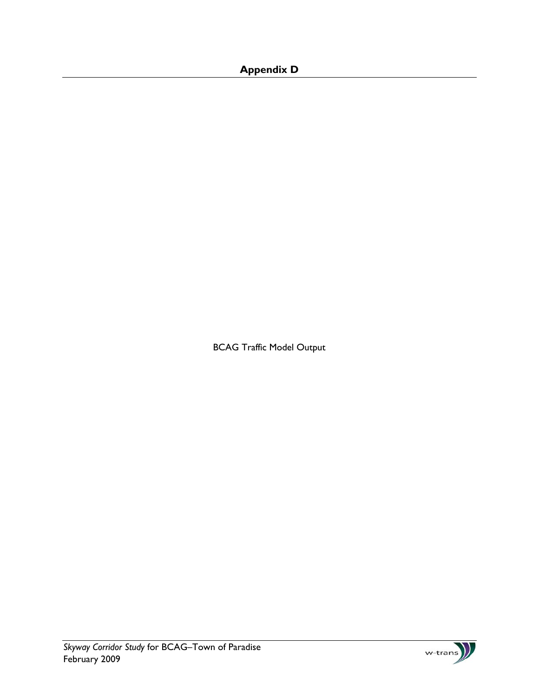## **Appendix D**

BCAG Traffic Model Output

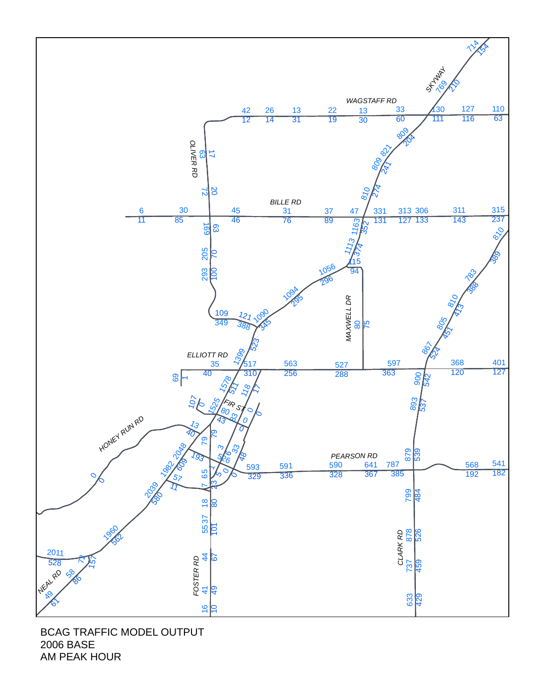

BCAG TRAFFIC MODEL OUTPUT 2006 BASE AM PEAK HOUR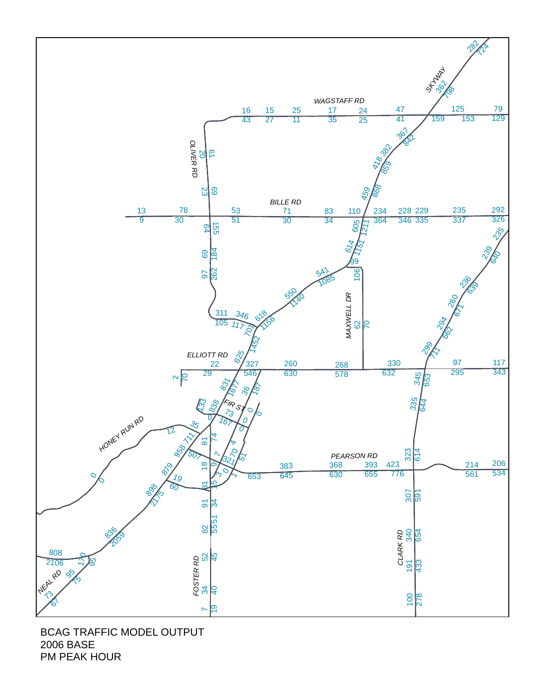

BCAG TRAFFIC MODEL OUTPUT 2006 BASE PM PEAK HOUR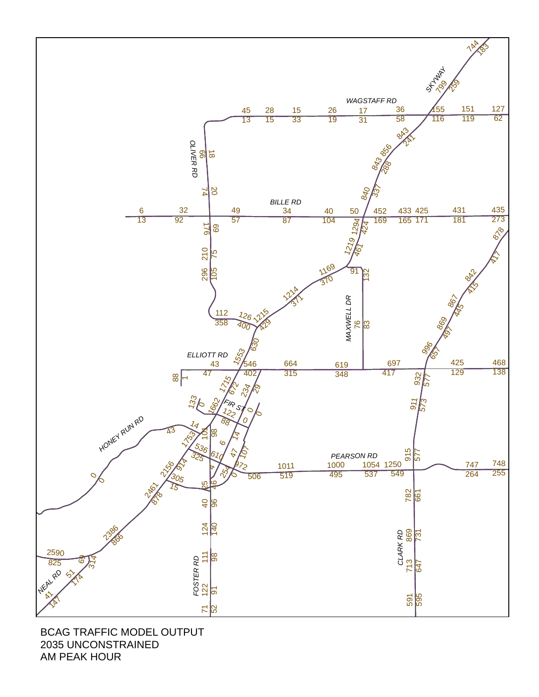

BCAG TRAFFIC MODEL OUTPUT 2035 UNCONSTRAINED AM PEAK HOUR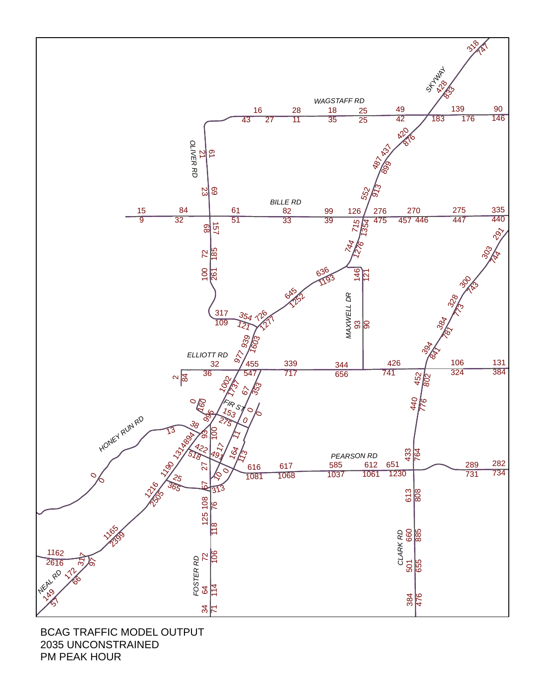

BCAG TRAFFIC MODEL OUTPUT 2035 UNCONSTRAINED PM PEAK HOUR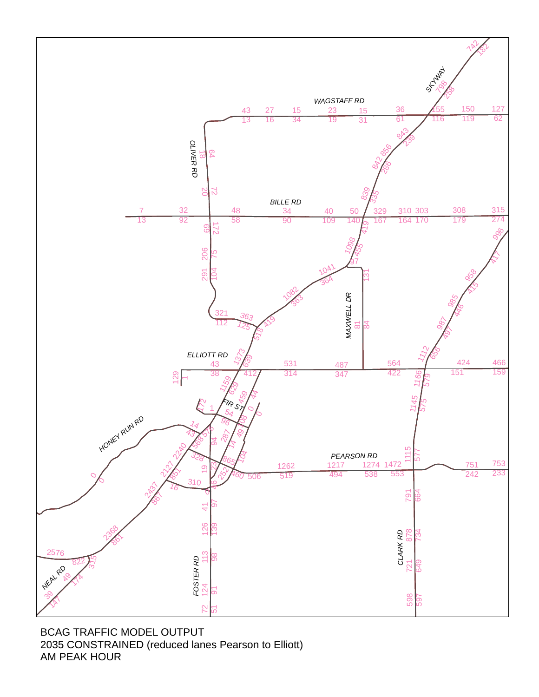

BCAG TRAFFIC MODEL OUTPUT 2035 CONSTRAINED (reduced lanes Pearson to Elliott) AM PEAK HOUR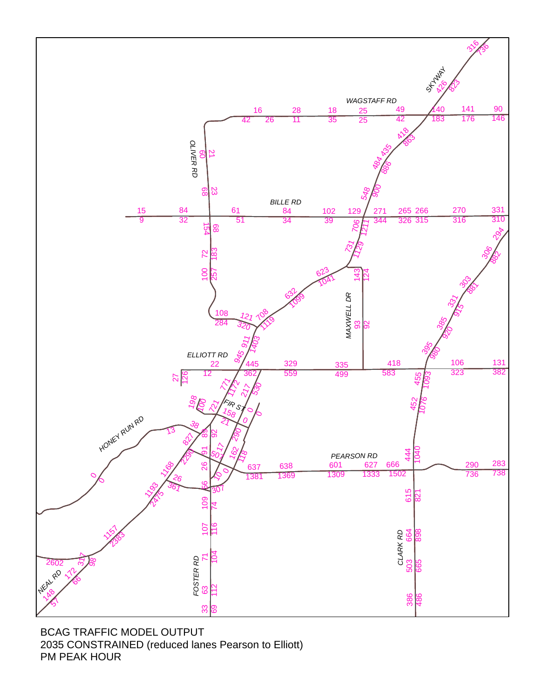

BCAG TRAFFIC MODEL OUTPUT 2035 CONSTRAINED (reduced lanes Pearson to Elliott) PM PEAK HOUR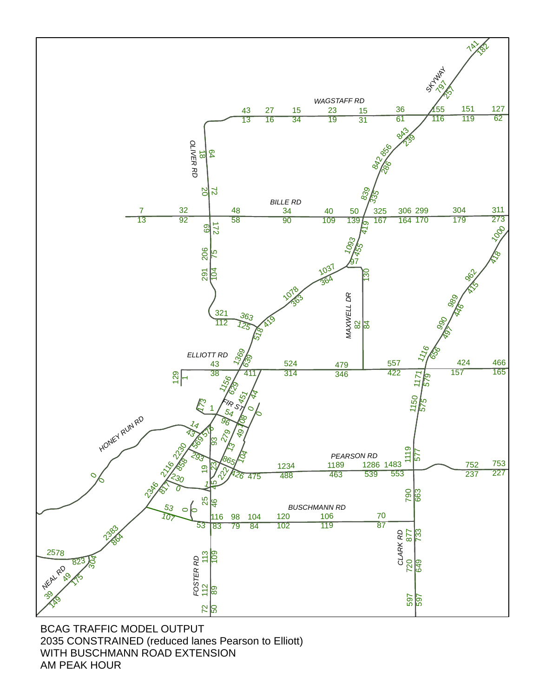

BCAG TRAFFIC MODEL OUTPUT 2035 CONSTRAINED (reduced lanes Pearson to Elliott) WITH BUSCHMANN ROAD EXTENSION AM PEAK HOUR